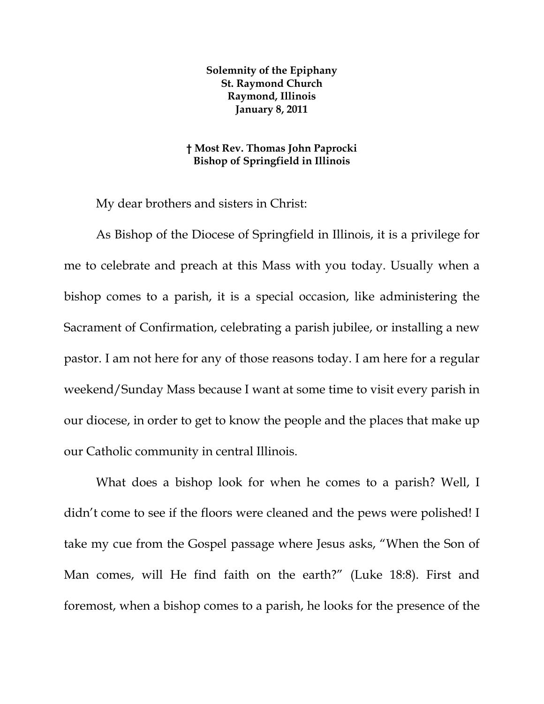**Solemnity of the Epiphany St. Raymond Church Raymond, Illinois January 8, 2011** 

## **† Most Rev. Thomas John Paprocki Bishop of Springfield in Illinois**

My dear brothers and sisters in Christ:

As Bishop of the Diocese of Springfield in Illinois, it is a privilege for me to celebrate and preach at this Mass with you today. Usually when a bishop comes to a parish, it is a special occasion, like administering the Sacrament of Confirmation, celebrating a parish jubilee, or installing a new pastor. I am not here for any of those reasons today. I am here for a regular weekend/Sunday Mass because I want at some time to visit every parish in our diocese, in order to get to know the people and the places that make up our Catholic community in central Illinois.

What does a bishop look for when he comes to a parish? Well, I didn't come to see if the floors were cleaned and the pews were polished! I take my cue from the Gospel passage where Jesus asks, "When the Son of Man comes, will He find faith on the earth?" (Luke 18:8). First and foremost, when a bishop comes to a parish, he looks for the presence of the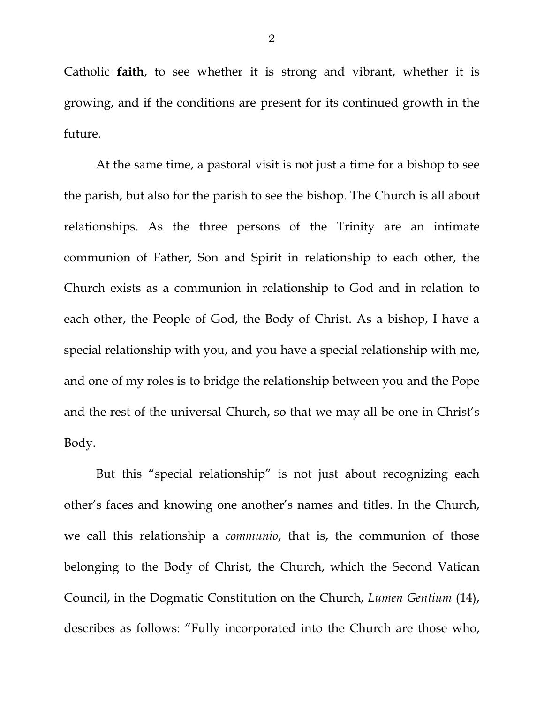Catholic **faith**, to see whether it is strong and vibrant, whether it is growing, and if the conditions are present for its continued growth in the future.

At the same time, a pastoral visit is not just a time for a bishop to see the parish, but also for the parish to see the bishop. The Church is all about relationships. As the three persons of the Trinity are an intimate communion of Father, Son and Spirit in relationship to each other, the Church exists as a communion in relationship to God and in relation to each other, the People of God, the Body of Christ. As a bishop, I have a special relationship with you, and you have a special relationship with me, and one of my roles is to bridge the relationship between you and the Pope and the rest of the universal Church, so that we may all be one in Christ's Body.

But this "special relationship" is not just about recognizing each other's faces and knowing one another's names and titles. In the Church, we call this relationship a *communio*, that is, the communion of those belonging to the Body of Christ, the Church, which the Second Vatican Council, in the Dogmatic Constitution on the Church, *Lumen Gentium* (14), describes as follows: "Fully incorporated into the Church are those who,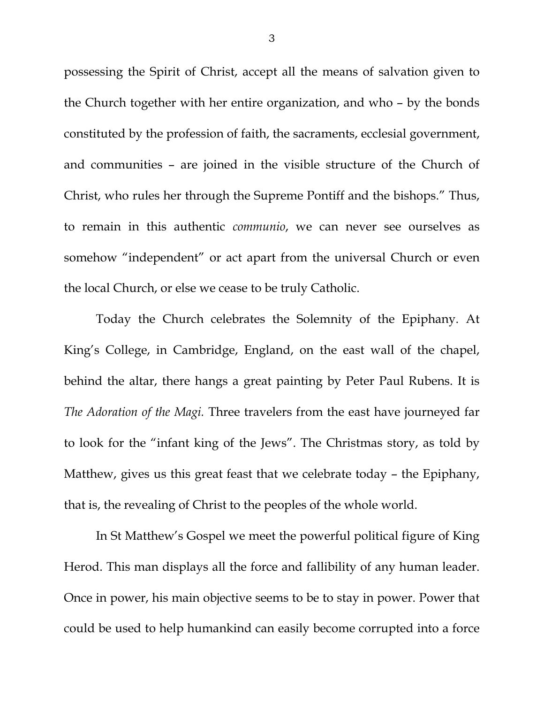possessing the Spirit of Christ, accept all the means of salvation given to the Church together with her entire organization, and who – by the bonds constituted by the profession of faith, the sacraments, ecclesial government, and communities – are joined in the visible structure of the Church of Christ, who rules her through the Supreme Pontiff and the bishops." Thus, to remain in this authentic *communio*, we can never see ourselves as somehow "independent" or act apart from the universal Church or even the local Church, or else we cease to be truly Catholic.

Today the Church celebrates the Solemnity of the Epiphany. At King's College, in Cambridge, England, on the east wall of the chapel, behind the altar, there hangs a great painting by Peter Paul Rubens. It is *The Adoration of the Magi.* Three travelers from the east have journeyed far to look for the "infant king of the Jews". The Christmas story, as told by Matthew, gives us this great feast that we celebrate today – the Epiphany, that is, the revealing of Christ to the peoples of the whole world.

In St Matthew's Gospel we meet the powerful political figure of King Herod. This man displays all the force and fallibility of any human leader. Once in power, his main objective seems to be to stay in power. Power that could be used to help humankind can easily become corrupted into a force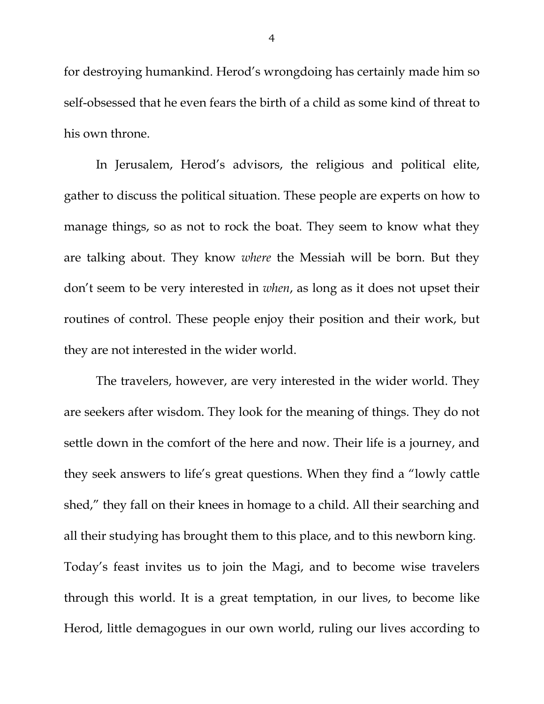for destroying humankind. Herod's wrongdoing has certainly made him so self-obsessed that he even fears the birth of a child as some kind of threat to his own throne.

In Jerusalem, Herod's advisors, the religious and political elite, gather to discuss the political situation. These people are experts on how to manage things, so as not to rock the boat. They seem to know what they are talking about. They know *where* the Messiah will be born. But they don't seem to be very interested in *when*, as long as it does not upset their routines of control. These people enjoy their position and their work, but they are not interested in the wider world.

The travelers, however, are very interested in the wider world. They are seekers after wisdom. They look for the meaning of things. They do not settle down in the comfort of the here and now. Their life is a journey, and they seek answers to life's great questions. When they find a "lowly cattle shed," they fall on their knees in homage to a child. All their searching and all their studying has brought them to this place, and to this newborn king. Today's feast invites us to join the Magi, and to become wise travelers through this world. It is a great temptation, in our lives, to become like Herod, little demagogues in our own world, ruling our lives according to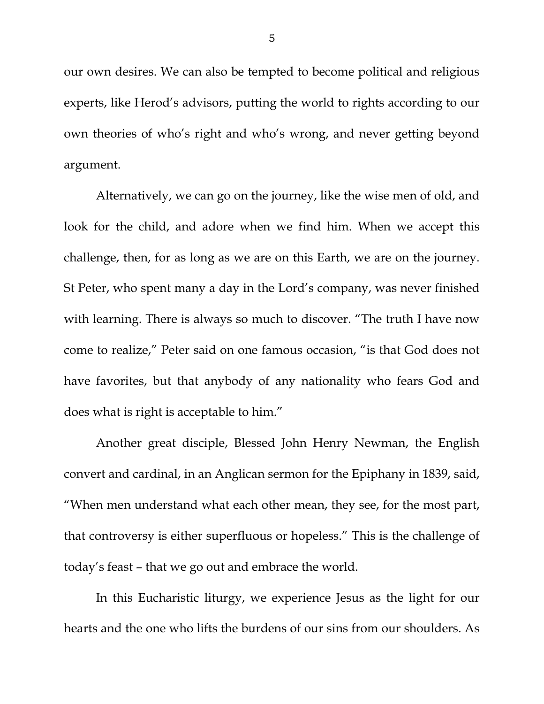our own desires. We can also be tempted to become political and religious experts, like Herod's advisors, putting the world to rights according to our own theories of who's right and who's wrong, and never getting beyond argument.

Alternatively, we can go on the journey, like the wise men of old, and look for the child, and adore when we find him. When we accept this challenge, then, for as long as we are on this Earth, we are on the journey. St Peter, who spent many a day in the Lord's company, was never finished with learning. There is always so much to discover. "The truth I have now come to realize," Peter said on one famous occasion, "is that God does not have favorites, but that anybody of any nationality who fears God and does what is right is acceptable to him."

Another great disciple, Blessed John Henry Newman, the English convert and cardinal, in an Anglican sermon for the Epiphany in 1839, said, "When men understand what each other mean, they see, for the most part, that controversy is either superfluous or hopeless." This is the challenge of today's feast – that we go out and embrace the world.

In this Eucharistic liturgy, we experience Jesus as the light for our hearts and the one who lifts the burdens of our sins from our shoulders. As